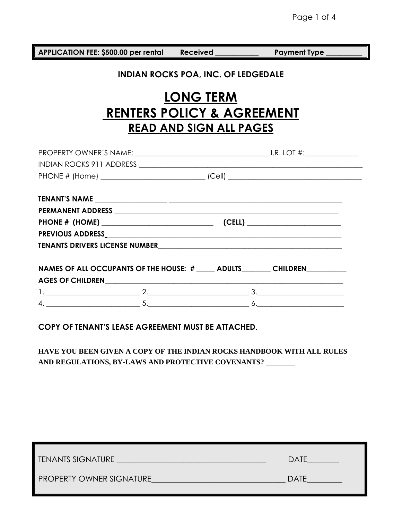**APPLICATION FEE: \$500.00 per rental Received \_\_\_\_\_\_\_\_\_\_\_\_ Payment Type \_\_\_\_\_\_\_\_\_\_** 

## **INDIAN ROCKS POA, INC. OF LEDGEDALE**

# **LONG TERM RENTERS POLICY & AGREEMENT READ AND SIGN ALL PAGES**

| TENANTS DRIVERS LICENSE NUMBER<br>TENANTS DRIVERS LICENSE NUMBER                            |  |  |
|---------------------------------------------------------------------------------------------|--|--|
|                                                                                             |  |  |
| NAMES OF ALL OCCUPANTS OF THE HOUSE: # _____ ADULTS _______ CHILDREN ________               |  |  |
| AGES OF CHILDRENNAL AND RESERVE TO A SERIES OF CHILDREN AND RESERVE TO A SERIES OF CHILDREN |  |  |
|                                                                                             |  |  |
|                                                                                             |  |  |
|                                                                                             |  |  |

**COPY OF TENANT'S LEASE AGREEMENT MUST BE ATTACHED**.

**HAVE YOU BEEN GIVEN A COPY OF THE INDIAN ROCKS HANDBOOK WITH ALL RULES AND REGULATIONS, BY-LAWS AND PROTECTIVE COVENANTS? \_\_\_\_\_\_\_\_**

| <b>TENANTS SIGNATURE</b>        | <b>DATE</b> |
|---------------------------------|-------------|
| <b>PROPERTY OWNER SIGNATURE</b> | <b>DATE</b> |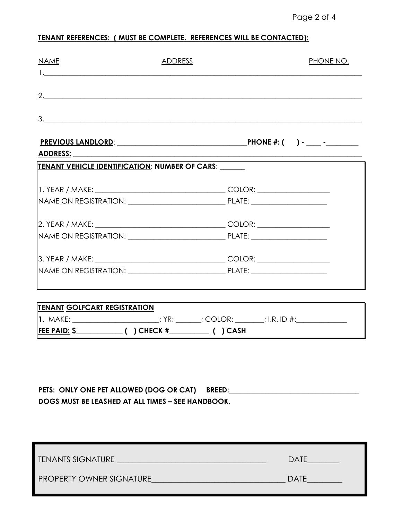## **TENANT REFERENCES: ( MUST BE COMPLETE. REFERENCES WILL BE CONTACTED):**

| <b>NAME</b>                                                                                                    | ADDRESS                                                                                 | <b>PHONE NO.</b> |
|----------------------------------------------------------------------------------------------------------------|-----------------------------------------------------------------------------------------|------------------|
|                                                                                                                | 2.                                                                                      |                  |
| 3.                                                                                                             |                                                                                         |                  |
| ADDRESS: AND THE SAME STATE OF THE STATE OF THE STATE OF THE STATE OF THE STATE OF THE STATE OF THE STATE OF T |                                                                                         |                  |
| TENANT VEHICLE IDENTIFICATION: NUMBER OF CARS: ______                                                          |                                                                                         |                  |
|                                                                                                                |                                                                                         |                  |
|                                                                                                                |                                                                                         |                  |
|                                                                                                                |                                                                                         |                  |
|                                                                                                                |                                                                                         |                  |
|                                                                                                                |                                                                                         |                  |
|                                                                                                                |                                                                                         |                  |
|                                                                                                                |                                                                                         |                  |
| <b>TENANT GOLFCART REGISTRATION</b>                                                                            |                                                                                         |                  |
|                                                                                                                | 1. MAKE: _________________________: YR: _______; COLOR: _______; I.R. ID #:____________ |                  |
|                                                                                                                |                                                                                         |                  |

| PETS: ONLY ONE PET ALLOWED (DOG OR CAT) BREED:    |  |
|---------------------------------------------------|--|
| DOGS MUST BE LEASHED AT ALL TIMES - SEE HANDBOOK. |  |

| <b>TENANTS SIGNATURE</b>        | <b>DATE</b> |
|---------------------------------|-------------|
| <b>PROPERTY OWNER SIGNATURE</b> | <b>DATE</b> |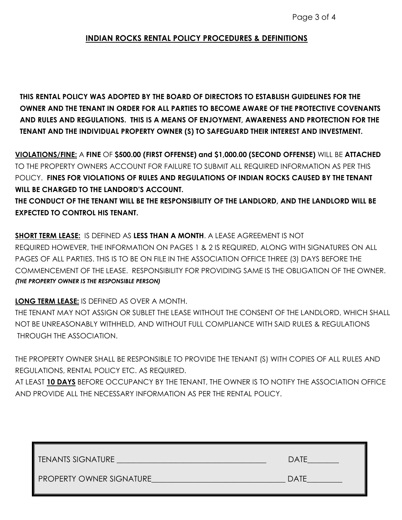### **INDIAN ROCKS RENTAL POLICY PROCEDURES & DEFINITIONS**

**THIS RENTAL POLICY WAS ADOPTED BY THE BOARD OF DIRECTORS TO ESTABLISH GUIDELINES FOR THE OWNER AND THE TENANT IN ORDER FOR ALL PARTIES TO BECOME AWARE OF THE PROTECTIVE COVENANTS AND RULES AND REGULATIONS. THIS IS A MEANS OF ENJOYMENT, AWARENESS AND PROTECTION FOR THE TENANT AND THE INDIVIDUAL PROPERTY OWNER (S) TO SAFEGUARD THEIR INTEREST AND INVESTMENT.**

**VIOLATIONS/FINE:** A **FINE** OF **\$500.00 (FIRST OFFENSE) and \$1,000.00 (SECOND OFFENSE)** WILL BE **ATTACHED** TO THE PROPERTY OWNERS ACCOUNT FOR FAILURE TO SUBMIT ALL REQUIRED INFORMATION AS PER THIS POLICY. **FINES FOR VIOLATIONS OF RULES AND REGULATIONS OF INDIAN ROCKS CAUSED BY THE TENANT WILL BE CHARGED TO THE LANDORD'S ACCOUNT.** 

**THE CONDUCT OF THE TENANT WILL BE THE RESPONSIBILITY OF THE LANDLORD, AND THE LANDLORD WILL BE EXPECTED TO CONTROL HIS TENANT.**

**SHORT TERM LEASE:** IS DEFINED AS **LESS THAN A MONTH**. A LEASE AGREEMENT IS NOT REQUIRED HOWEVER, THE INFORMATION ON PAGES 1 & 2 IS REQUIRED, ALONG WITH SIGNATURES ON ALL PAGES OF ALL PARTIES. THIS IS TO BE ON FILE IN THE ASSOCIATION OFFICE THREE (3) DAYS BEFORE THE COMMENCEMENT OF THE LEASE. RESPONSIBILITY FOR PROVIDING SAME IS THE OBLIGATION OF THE OWNER. *(THE PROPERTY OWNER IS THE RESPONSIBLE PERSON)*

**LONG TERM LEASE:** IS DEFINED AS OVER A MONTH.

THE TENANT MAY NOT ASSIGN OR SUBLET THE LEASE WITHOUT THE CONSENT OF THE LANDLORD, WHICH SHALL NOT BE UNREASONABLY WITHHELD, AND WITHOUT FULL COMPLIANCE WITH SAID RULES & REGULATIONS THROUGH THE ASSOCIATION.

THE PROPERTY OWNER SHALL BE RESPONSIBLE TO PROVIDE THE TENANT (S) WITH COPIES OF ALL RULES AND REGULATIONS, RENTAL POLICY ETC. AS REQUIRED.

AT LEAST **10 DAYS** BEFORE OCCUPANCY BY THE TENANT, THE OWNER IS TO NOTIFY THE ASSOCIATION OFFICE AND PROVIDE ALL THE NECESSARY INFORMATION AS PER THE RENTAL POLICY.

| TENANTS SIGNATURE               | DATE        |
|---------------------------------|-------------|
| <b>PROPERTY OWNER SIGNATURE</b> | <b>DATE</b> |